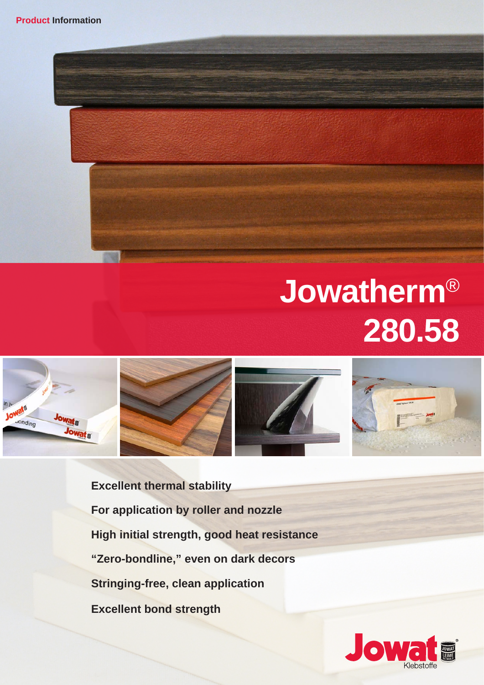## **Jowatherm**® **280.58**









**Excellent thermal stability For application by roller and nozzle High initial strength, good heat resistance "Zero-bondline," even on dark decors Stringing-free, clean application Excellent bond strength**